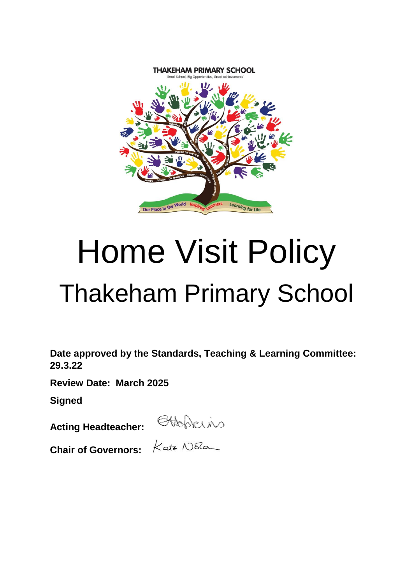

# Home Visit Policy Thakeham Primary School

**Date approved by the Standards, Teaching & Learning Committee: 29.3.22**

**Review Date: March 2025**

**Signed**

**Acting Headteacher:** 

**Chair of Governors:**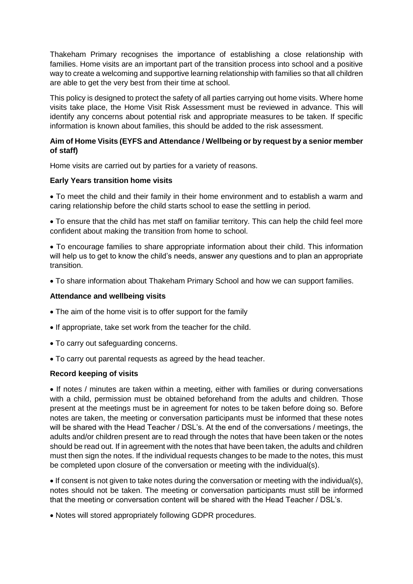Thakeham Primary recognises the importance of establishing a close relationship with families. Home visits are an important part of the transition process into school and a positive way to create a welcoming and supportive learning relationship with families so that all children are able to get the very best from their time at school.

This policy is designed to protect the safety of all parties carrying out home visits. Where home visits take place, the Home Visit Risk Assessment must be reviewed in advance. This will identify any concerns about potential risk and appropriate measures to be taken. If specific information is known about families, this should be added to the risk assessment.

## **Aim of Home Visits (EYFS and Attendance / Wellbeing or by request by a senior member of staff)**

Home visits are carried out by parties for a variety of reasons.

## **Early Years transition home visits**

 To meet the child and their family in their home environment and to establish a warm and caring relationship before the child starts school to ease the settling in period.

 To ensure that the child has met staff on familiar territory. This can help the child feel more confident about making the transition from home to school.

 To encourage families to share appropriate information about their child. This information will help us to get to know the child's needs, answer any questions and to plan an appropriate transition.

To share information about Thakeham Primary School and how we can support families.

### **Attendance and wellbeing visits**

- The aim of the home visit is to offer support for the family
- If appropriate, take set work from the teacher for the child.
- To carry out safeguarding concerns.
- To carry out parental requests as agreed by the head teacher.

### **Record keeping of visits**

• If notes / minutes are taken within a meeting, either with families or during conversations with a child, permission must be obtained beforehand from the adults and children. Those present at the meetings must be in agreement for notes to be taken before doing so. Before notes are taken, the meeting or conversation participants must be informed that these notes will be shared with the Head Teacher / DSL's. At the end of the conversations / meetings, the adults and/or children present are to read through the notes that have been taken or the notes should be read out. If in agreement with the notes that have been taken, the adults and children must then sign the notes. If the individual requests changes to be made to the notes, this must be completed upon closure of the conversation or meeting with the individual(s).

 If consent is not given to take notes during the conversation or meeting with the individual(s), notes should not be taken. The meeting or conversation participants must still be informed that the meeting or conversation content will be shared with the Head Teacher / DSL's.

Notes will stored appropriately following GDPR procedures.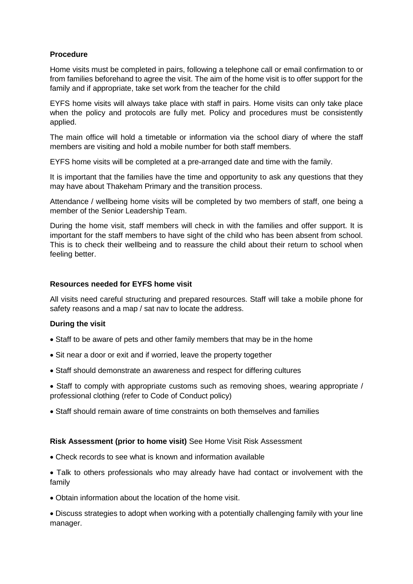## **Procedure**

Home visits must be completed in pairs, following a telephone call or email confirmation to or from families beforehand to agree the visit. The aim of the home visit is to offer support for the family and if appropriate, take set work from the teacher for the child

EYFS home visits will always take place with staff in pairs. Home visits can only take place when the policy and protocols are fully met. Policy and procedures must be consistently applied.

The main office will hold a timetable or information via the school diary of where the staff members are visiting and hold a mobile number for both staff members.

EYFS home visits will be completed at a pre-arranged date and time with the family.

It is important that the families have the time and opportunity to ask any questions that they may have about Thakeham Primary and the transition process.

Attendance / wellbeing home visits will be completed by two members of staff, one being a member of the Senior Leadership Team.

During the home visit, staff members will check in with the families and offer support. It is important for the staff members to have sight of the child who has been absent from school. This is to check their wellbeing and to reassure the child about their return to school when feeling better.

#### **Resources needed for EYFS home visit**

All visits need careful structuring and prepared resources. Staff will take a mobile phone for safety reasons and a map / sat nav to locate the address.

### **During the visit**

- Staff to be aware of pets and other family members that may be in the home
- Sit near a door or exit and if worried, leave the property together
- Staff should demonstrate an awareness and respect for differing cultures

• Staff to comply with appropriate customs such as removing shoes, wearing appropriate / professional clothing (refer to Code of Conduct policy)

Staff should remain aware of time constraints on both themselves and families

### **Risk Assessment (prior to home visit)** See Home Visit Risk Assessment

Check records to see what is known and information available

 Talk to others professionals who may already have had contact or involvement with the family

Obtain information about the location of the home visit.

 Discuss strategies to adopt when working with a potentially challenging family with your line manager.